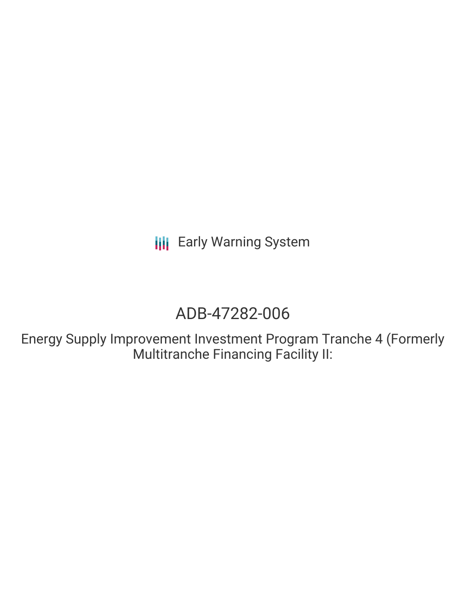# ADB-47282-006

Energy Supply Improvement Investment Program Tranche 4 (Formerly Multitranche Financing Facility II: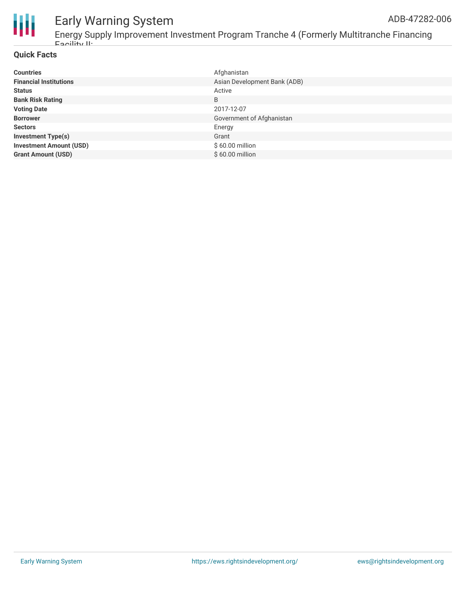

Energy Supply Improvement Investment Program Tranche 4 (Formerly Multitranche Financing Facility II:

#### **Quick Facts**

| <b>Countries</b>               | Afghanistan                  |
|--------------------------------|------------------------------|
| <b>Financial Institutions</b>  | Asian Development Bank (ADB) |
| <b>Status</b>                  | Active                       |
| <b>Bank Risk Rating</b>        | B                            |
| <b>Voting Date</b>             | 2017-12-07                   |
| <b>Borrower</b>                | Government of Afghanistan    |
| <b>Sectors</b>                 | Energy                       |
| <b>Investment Type(s)</b>      | Grant                        |
| <b>Investment Amount (USD)</b> | \$60.00 million              |
| <b>Grant Amount (USD)</b>      | \$60.00 million              |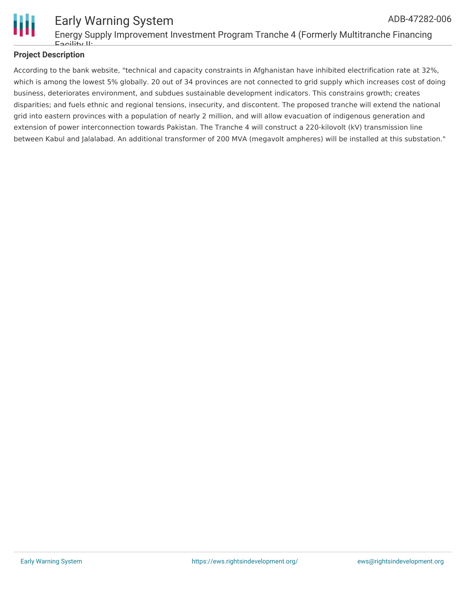

#### Early Warning System Energy Supply Improvement Investment Program Tranche 4 (Formerly Multitranche Financing Facility II: ADB-47282-006

#### **Project Description**

According to the bank website, "technical and capacity constraints in Afghanistan have inhibited electrification rate at 32%, which is among the lowest 5% globally. 20 out of 34 provinces are not connected to grid supply which increases cost of doing business, deteriorates environment, and subdues sustainable development indicators. This constrains growth; creates disparities; and fuels ethnic and regional tensions, insecurity, and discontent. The proposed tranche will extend the national grid into eastern provinces with a population of nearly 2 million, and will allow evacuation of indigenous generation and extension of power interconnection towards Pakistan. The Tranche 4 will construct a 220-kilovolt (kV) transmission line between Kabul and Jalalabad. An additional transformer of 200 MVA (megavolt ampheres) will be installed at this substation."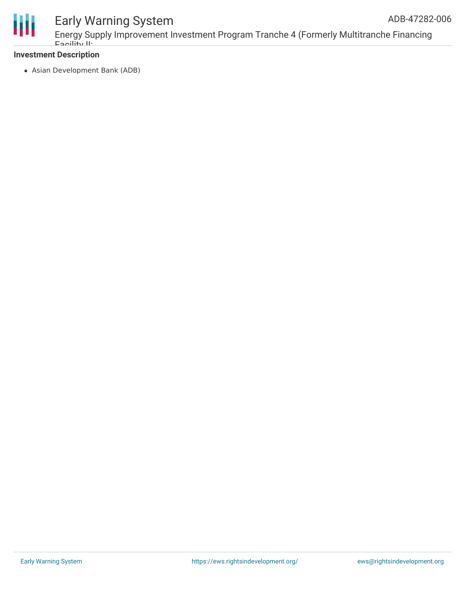

Energy Supply Improvement Investment Program Tranche 4 (Formerly Multitranche Financing Facility II:

#### **Investment Description**

Asian Development Bank (ADB)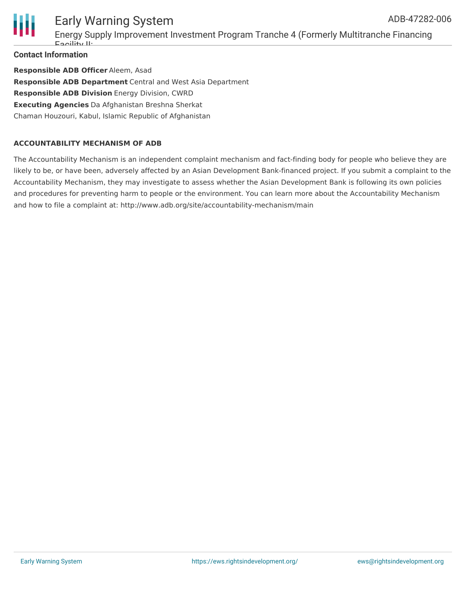

### Early Warning System Energy Supply Improvement Investment Program Tranche 4 (Formerly Multitranche Financing Facility II:

**Contact Information**

**Responsible ADB Officer** Aleem, Asad **Responsible ADB Department** Central and West Asia Department **Responsible ADB Division** Energy Division, CWRD **Executing Agencies** Da Afghanistan Breshna Sherkat Chaman Houzouri, Kabul, Islamic Republic of Afghanistan

#### **ACCOUNTABILITY MECHANISM OF ADB**

The Accountability Mechanism is an independent complaint mechanism and fact-finding body for people who believe they are likely to be, or have been, adversely affected by an Asian Development Bank-financed project. If you submit a complaint to the Accountability Mechanism, they may investigate to assess whether the Asian Development Bank is following its own policies and procedures for preventing harm to people or the environment. You can learn more about the Accountability Mechanism and how to file a complaint at: http://www.adb.org/site/accountability-mechanism/main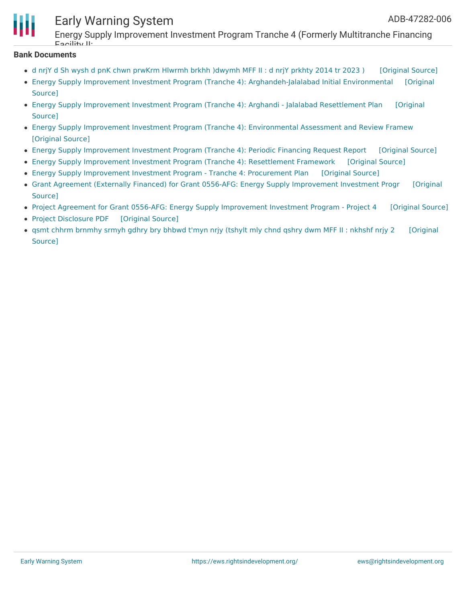

Energy Supply Improvement Investment Program Tranche 4 (Formerly Multitranche Financing Facility II:

#### **Bank Documents**

- d nrjY d Sh wysh d pnK chwn prwKrm Hlwrmh brkhh [\)dwymh](https://ewsdata.rightsindevelopment.org/files/documents/06/ADB-47282-006_JnNQ9VR.pdf) MFF II : d nrjY prkhty 2014 tr 2023 ) [\[Original](https://www.adb.org/ps/projects/documents/afg-47282-006-pds) Source]
- Energy Supply Improvement Investment Program (Tranche 4): [Arghandeh-Jalalabad](https://www.adb.org/projects/documents/afg-47282-006-iee) Initial Environmental [Original Source]
- Energy Supply [Improvement](https://www.adb.org/projects/documents/afg-47282-006-rp) Investment Program (Tranche 4): Arghandi Jalalabad Resettlement Plan [Original Source]
- Energy Supply Improvement Investment Program (Tranche 4): [Environmental](https://ewsdata.rightsindevelopment.org/files/documents/06/ADB-47282-006_OqjEWTu.pdf) Assessment and Review Framew [\[Original](https://www.adb.org/projects/documents/afg-47282-006-earf) Source]
- Energy Supply [Improvement](https://ewsdata.rightsindevelopment.org/files/documents/06/ADB-47282-006_qHzVv4u.pdf) Investment Program (Tranche 4): Periodic Financing Request Report [\[Original](https://www.adb.org/projects/documents/afg-47282-006-pfrr) Source]
- Energy Supply [Improvement](https://ewsdata.rightsindevelopment.org/files/documents/06/ADB-47282-006_tIUFB21.pdf) Investment Program (Tranche 4): Resettlement Framework [\[Original](https://www.adb.org/projects/documents/afg-47282-006-rf) Source]
- Energy Supply [Improvement](https://ewsdata.rightsindevelopment.org/files/documents/06/ADB-47282-006_wrPSGj2.pdf) Investment Program Tranche 4: Procurement Plan [\[Original](https://www.adb.org/projects/documents/afg-47282-006-pp) Source]
- Grant Agreement (Externally Financed) for Grant 0556-AFG: Energy Supply [Improvement](https://ewsdata.rightsindevelopment.org/files/documents/06/ADB-47282-006_9tvwNc1.pdf) Investment Progr [Original Source]
- Project Agreement for Grant 0556-AFG: Energy Supply [Improvement](https://ewsdata.rightsindevelopment.org/files/documents/06/ADB-47282-006_6aFmq0s.pdf) Investment Program Project 4 [\[Original](https://www.adb.org/projects/documents/afg-47282-006-pra) Source]
- Project [Disclosure](https://ewsdata.rightsindevelopment.org/files/documents/06/ADB-47282-006.pdf) PDF [\[Original](https://www.adb.org/printpdf/projects/47282-006/main) Source]
- qsmt chhrm [brnmhy](https://ewsdata.rightsindevelopment.org/files/documents/06/ADB-47282-006_9Tvly6w.pdf) srmyh gdhry bry bhbwd t'myn nrjy (tshylt mly chnd qshry dwm MFF II : nkhshf nrjy 2 [\[Original](https://www.adb.org/prs/projects/documents/afg-47282-006-pds) Source]